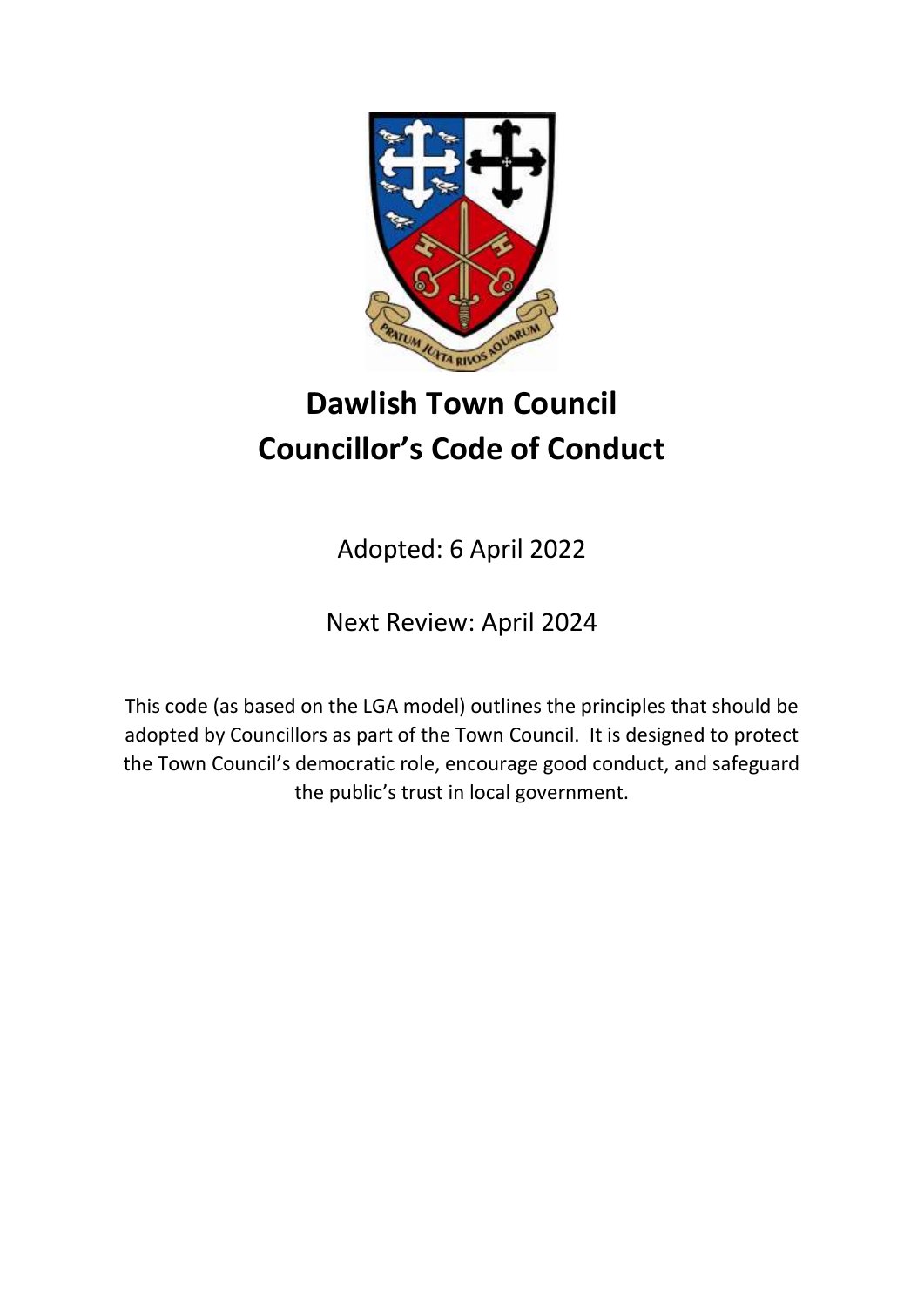

# **Dawlish Town Council Councillor's Code of Conduct**

Adopted: 6 April 2022

Next Review: April 2024

This code (as based on the LGA model) outlines the principles that should be adopted by Councillors as part of the Town Council. It is designed to protect the Town Council's democratic role, encourage good conduct, and safeguard the public's trust in local government.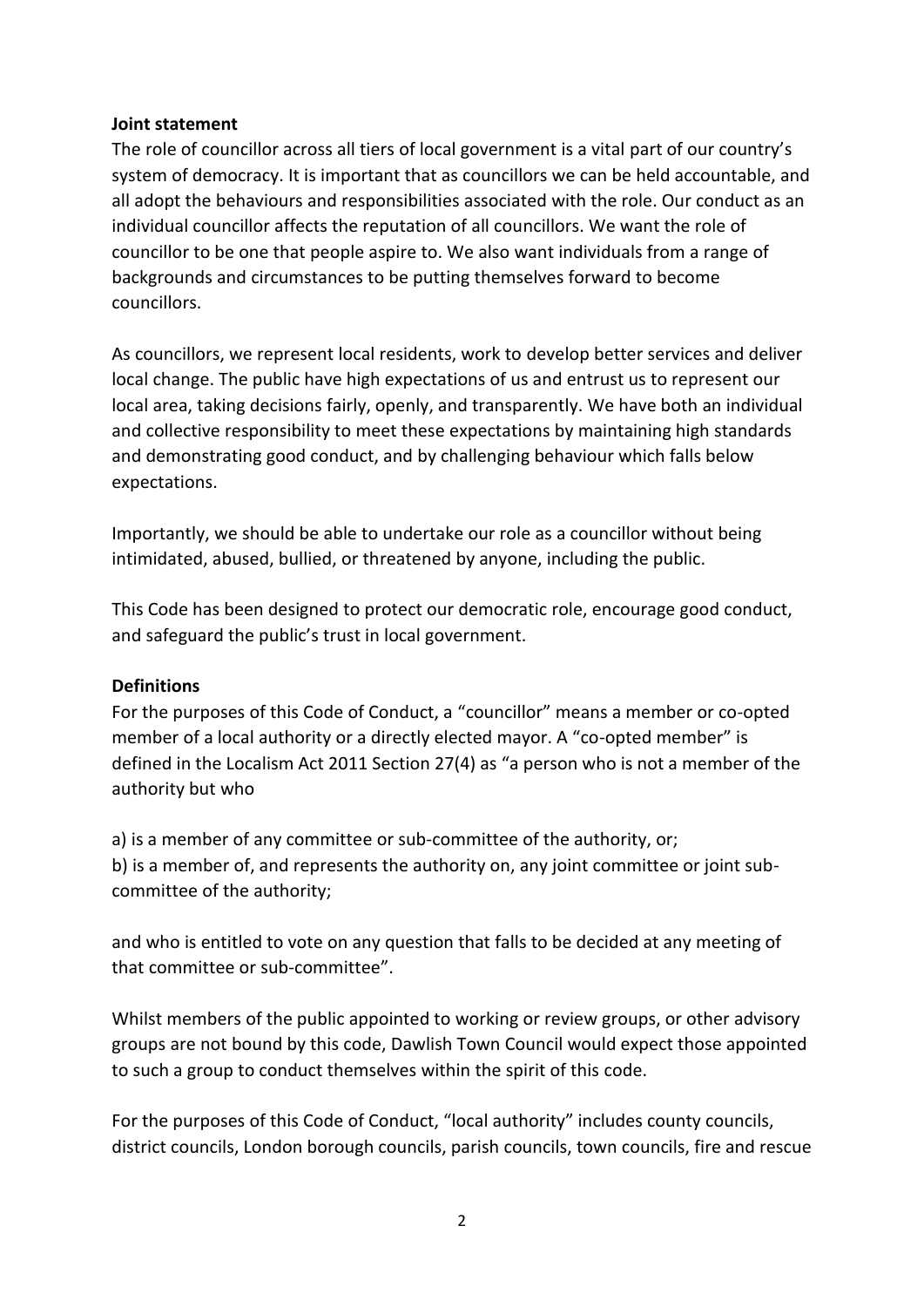#### **Joint statement**

The role of councillor across all tiers of local government is a vital part of our country's system of democracy. It is important that as councillors we can be held accountable, and all adopt the behaviours and responsibilities associated with the role. Our conduct as an individual councillor affects the reputation of all councillors. We want the role of councillor to be one that people aspire to. We also want individuals from a range of backgrounds and circumstances to be putting themselves forward to become councillors.

As councillors, we represent local residents, work to develop better services and deliver local change. The public have high expectations of us and entrust us to represent our local area, taking decisions fairly, openly, and transparently. We have both an individual and collective responsibility to meet these expectations by maintaining high standards and demonstrating good conduct, and by challenging behaviour which falls below expectations.

Importantly, we should be able to undertake our role as a councillor without being intimidated, abused, bullied, or threatened by anyone, including the public.

This Code has been designed to protect our democratic role, encourage good conduct, and safeguard the public's trust in local government.

#### **Definitions**

For the purposes of this Code of Conduct, a "councillor" means a member or co-opted member of a local authority or a directly elected mayor. A "co-opted member" is defined in the Localism Act 2011 Section 27(4) as "a person who is not a member of the authority but who

a) is a member of any committee or sub-committee of the authority, or; b) is a member of, and represents the authority on, any joint committee or joint subcommittee of the authority;

and who is entitled to vote on any question that falls to be decided at any meeting of that committee or sub-committee".

Whilst members of the public appointed to working or review groups, or other advisory groups are not bound by this code, Dawlish Town Council would expect those appointed to such a group to conduct themselves within the spirit of this code.

For the purposes of this Code of Conduct, "local authority" includes county councils, district councils, London borough councils, parish councils, town councils, fire and rescue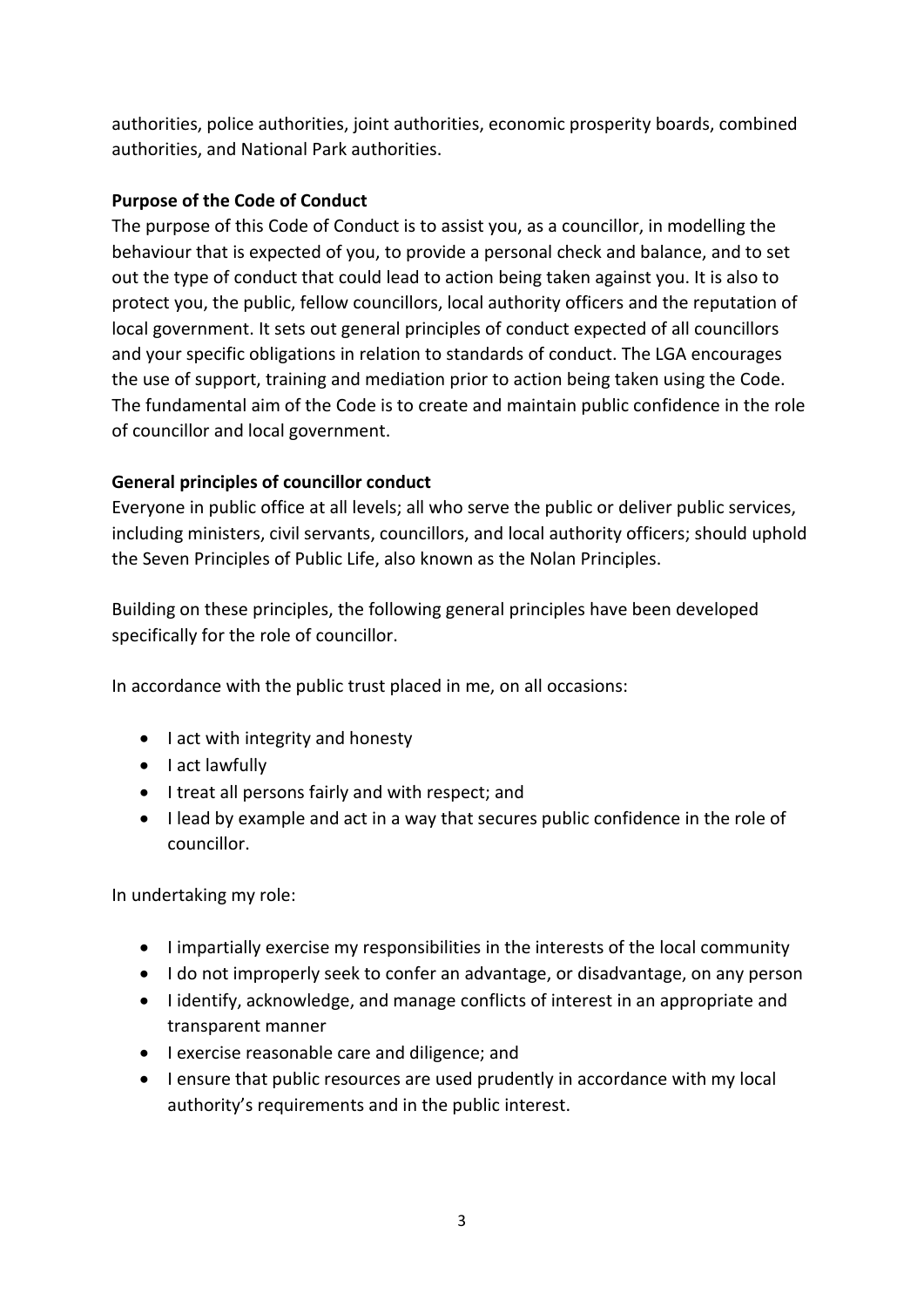authorities, police authorities, joint authorities, economic prosperity boards, combined authorities, and National Park authorities.

# **Purpose of the Code of Conduct**

The purpose of this Code of Conduct is to assist you, as a councillor, in modelling the behaviour that is expected of you, to provide a personal check and balance, and to set out the type of conduct that could lead to action being taken against you. It is also to protect you, the public, fellow councillors, local authority officers and the reputation of local government. It sets out general principles of conduct expected of all councillors and your specific obligations in relation to standards of conduct. The LGA encourages the use of support, training and mediation prior to action being taken using the Code. The fundamental aim of the Code is to create and maintain public confidence in the role of councillor and local government.

# **General principles of councillor conduct**

Everyone in public office at all levels; all who serve the public or deliver public services, including ministers, civil servants, councillors, and local authority officers; should uphold the Seven Principles of Public Life, also known as the Nolan Principles.

Building on these principles, the following general principles have been developed specifically for the role of councillor.

In accordance with the public trust placed in me, on all occasions:

- I act with integrity and honesty
- I act lawfully
- I treat all persons fairly and with respect; and
- I lead by example and act in a way that secures public confidence in the role of councillor.

In undertaking my role:

- I impartially exercise my responsibilities in the interests of the local community
- I do not improperly seek to confer an advantage, or disadvantage, on any person
- I identify, acknowledge, and manage conflicts of interest in an appropriate and transparent manner
- I exercise reasonable care and diligence; and
- I ensure that public resources are used prudently in accordance with my local authority's requirements and in the public interest.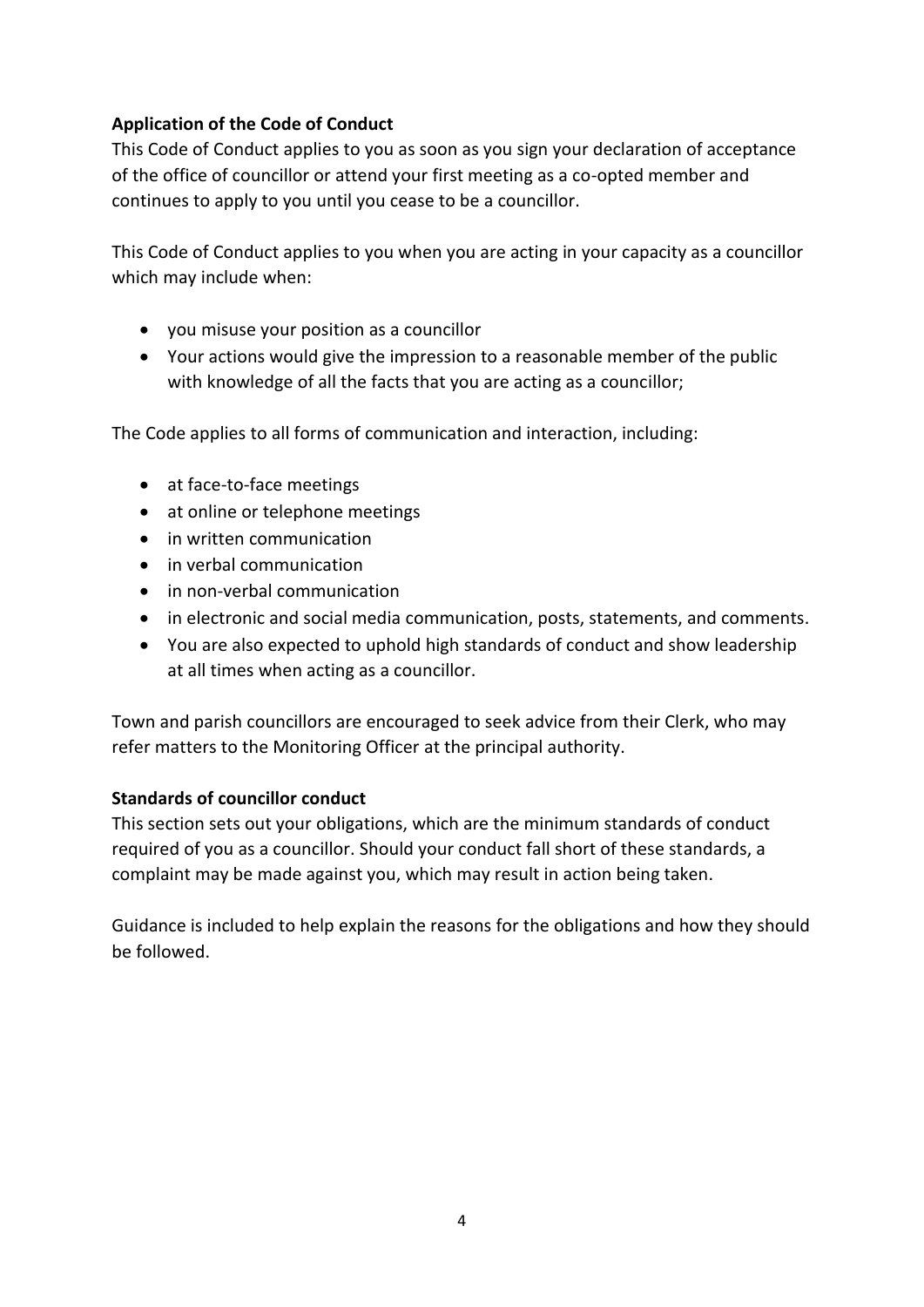# **Application of the Code of Conduct**

This Code of Conduct applies to you as soon as you sign your declaration of acceptance of the office of councillor or attend your first meeting as a co-opted member and continues to apply to you until you cease to be a councillor.

This Code of Conduct applies to you when you are acting in your capacity as a councillor which may include when:

- you misuse your position as a councillor
- Your actions would give the impression to a reasonable member of the public with knowledge of all the facts that you are acting as a councillor;

The Code applies to all forms of communication and interaction, including:

- at face-to-face meetings
- at online or telephone meetings
- in written communication
- in verbal communication
- in non-verbal communication
- in electronic and social media communication, posts, statements, and comments.
- You are also expected to uphold high standards of conduct and show leadership at all times when acting as a councillor.

Town and parish councillors are encouraged to seek advice from their Clerk, who may refer matters to the Monitoring Officer at the principal authority.

# **Standards of councillor conduct**

This section sets out your obligations, which are the minimum standards of conduct required of you as a councillor. Should your conduct fall short of these standards, a complaint may be made against you, which may result in action being taken.

Guidance is included to help explain the reasons for the obligations and how they should be followed.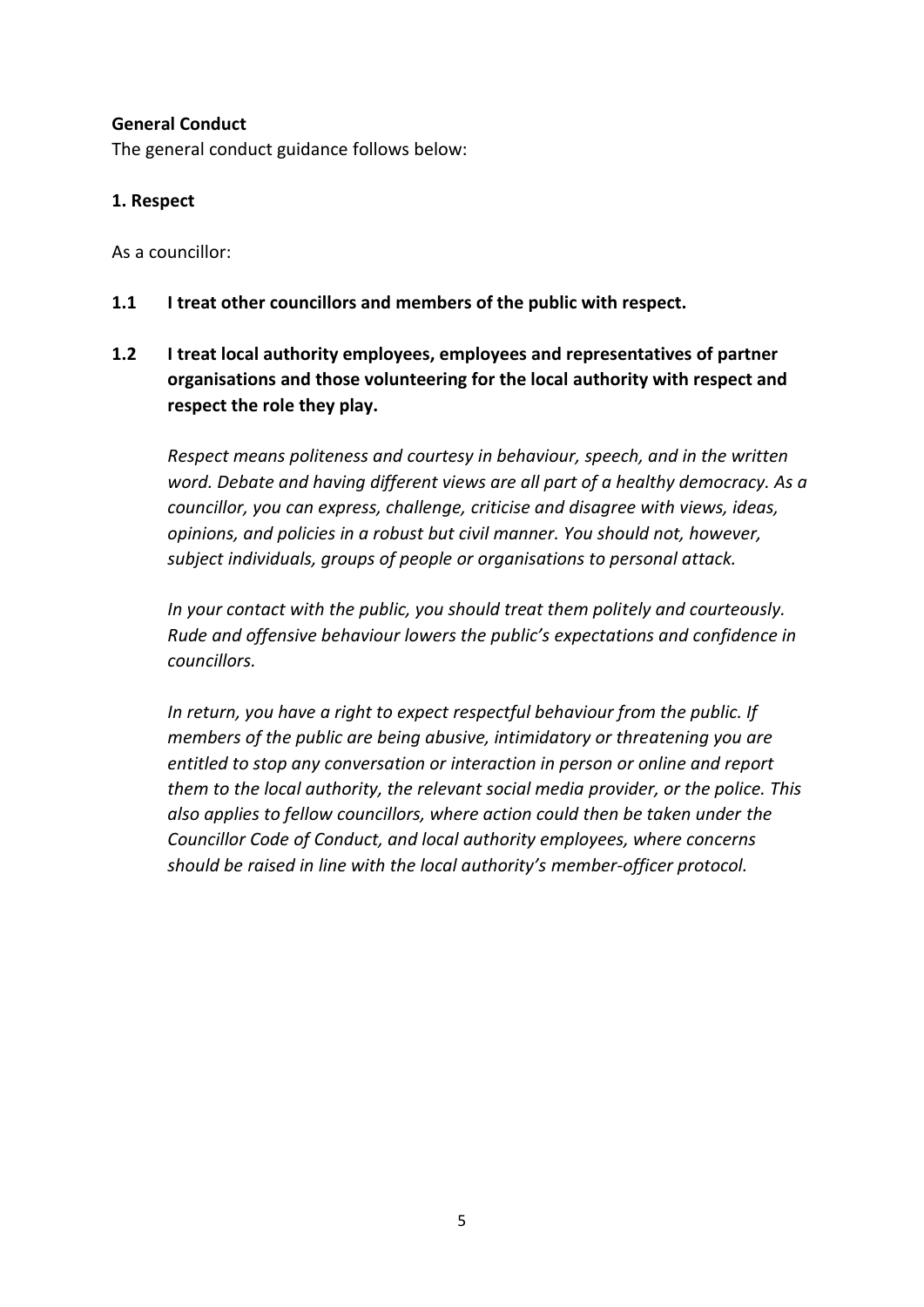#### **General Conduct**

The general conduct guidance follows below:

#### **1. Respect**

As a councillor:

- **1.1 I treat other councillors and members of the public with respect.**
- **1.2 I treat local authority employees, employees and representatives of partner organisations and those volunteering for the local authority with respect and respect the role they play.**

*Respect means politeness and courtesy in behaviour, speech, and in the written word. Debate and having different views are all part of a healthy democracy. As a councillor, you can express, challenge, criticise and disagree with views, ideas, opinions, and policies in a robust but civil manner. You should not, however, subject individuals, groups of people or organisations to personal attack.*

*In your contact with the public, you should treat them politely and courteously. Rude and offensive behaviour lowers the public's expectations and confidence in councillors.*

*In return, you have a right to expect respectful behaviour from the public. If members of the public are being abusive, intimidatory or threatening you are entitled to stop any conversation or interaction in person or online and report them to the local authority, the relevant social media provider, or the police. This also applies to fellow councillors, where action could then be taken under the Councillor Code of Conduct, and local authority employees, where concerns should be raised in line with the local authority's member-officer protocol.*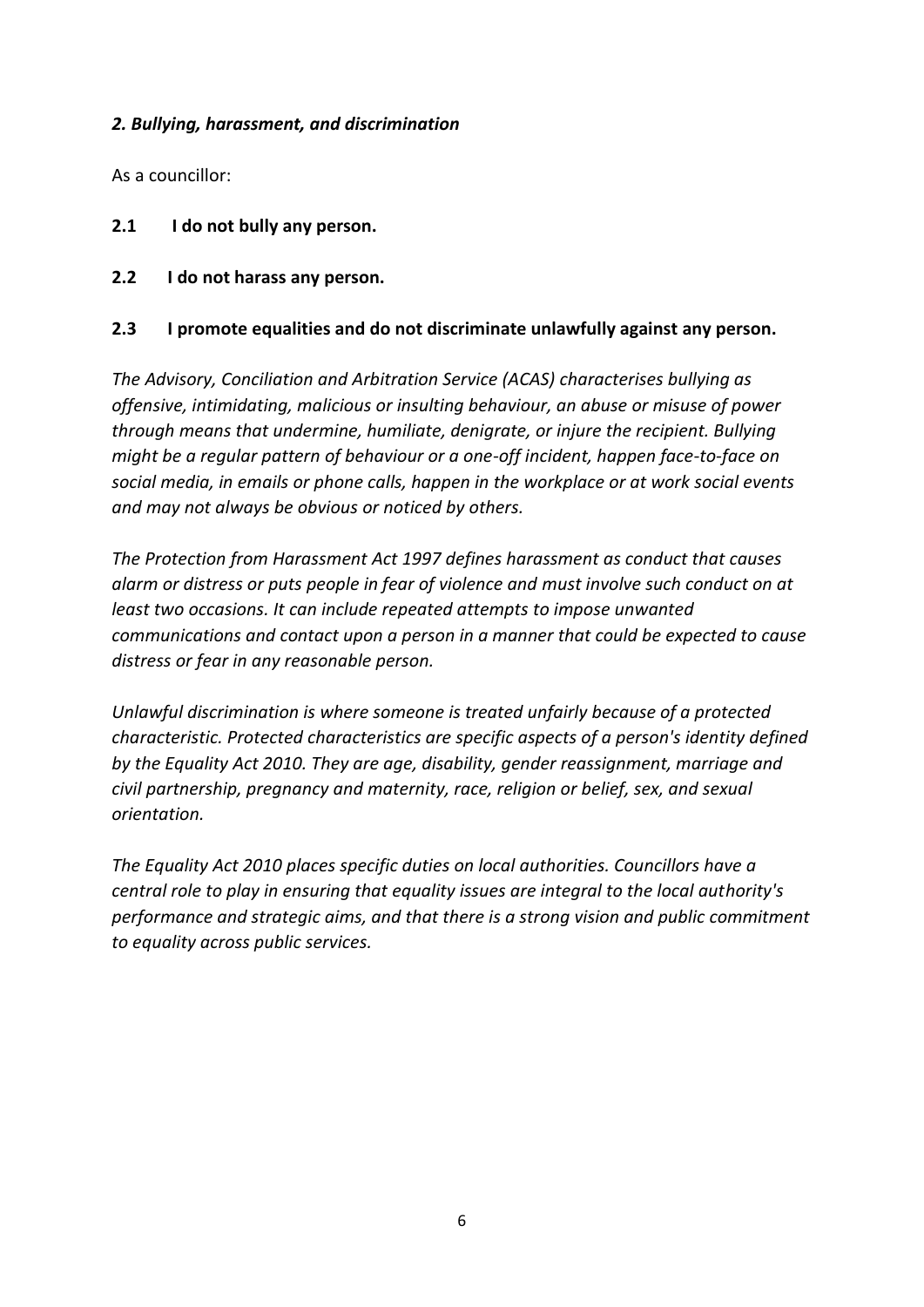#### *2. Bullying, harassment, and discrimination*

As a councillor:

- **2.1 I do not bully any person.**
- **2.2 I do not harass any person.**

#### **2.3 I promote equalities and do not discriminate unlawfully against any person.**

*The Advisory, Conciliation and Arbitration Service (ACAS) characterises bullying as offensive, intimidating, malicious or insulting behaviour, an abuse or misuse of power through means that undermine, humiliate, denigrate, or injure the recipient. Bullying might be a regular pattern of behaviour or a one-off incident, happen face-to-face on social media, in emails or phone calls, happen in the workplace or at work social events and may not always be obvious or noticed by others.*

*The Protection from Harassment Act 1997 defines harassment as conduct that causes alarm or distress or puts people in fear of violence and must involve such conduct on at least two occasions. It can include repeated attempts to impose unwanted communications and contact upon a person in a manner that could be expected to cause distress or fear in any reasonable person.*

*Unlawful discrimination is where someone is treated unfairly because of a protected characteristic. Protected characteristics are specific aspects of a person's identity defined by the Equality Act 2010. They are age, disability, gender reassignment, marriage and civil partnership, pregnancy and maternity, race, religion or belief, sex, and sexual orientation.*

*The Equality Act 2010 places specific duties on local authorities. Councillors have a central role to play in ensuring that equality issues are integral to the local authority's performance and strategic aims, and that there is a strong vision and public commitment to equality across public services.*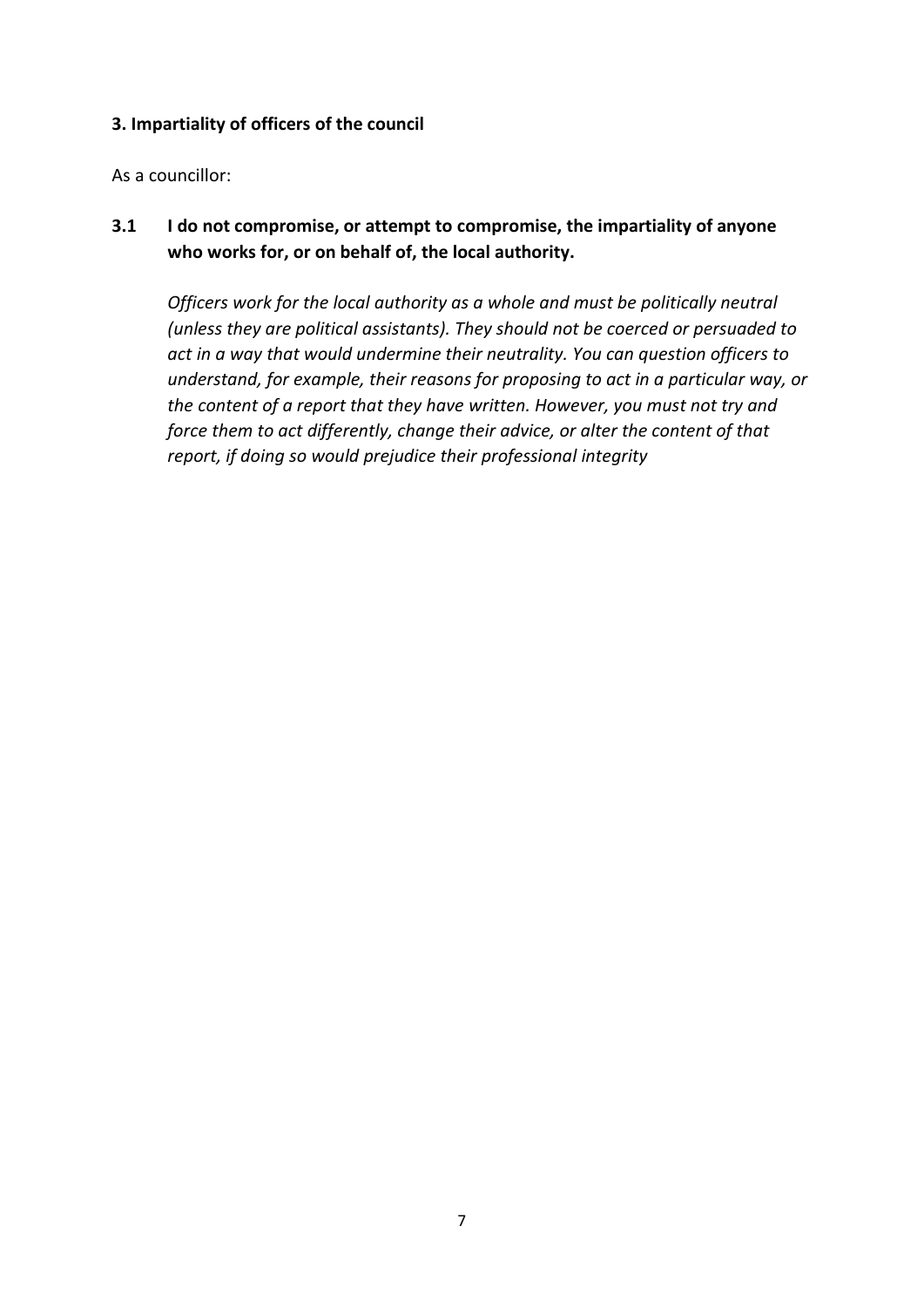#### **3. Impartiality of officers of the council**

As a councillor:

**3.1 I do not compromise, or attempt to compromise, the impartiality of anyone who works for, or on behalf of, the local authority.**

*Officers work for the local authority as a whole and must be politically neutral (unless they are political assistants). They should not be coerced or persuaded to act in a way that would undermine their neutrality. You can question officers to understand, for example, their reasons for proposing to act in a particular way, or the content of a report that they have written. However, you must not try and force them to act differently, change their advice, or alter the content of that report, if doing so would prejudice their professional integrity*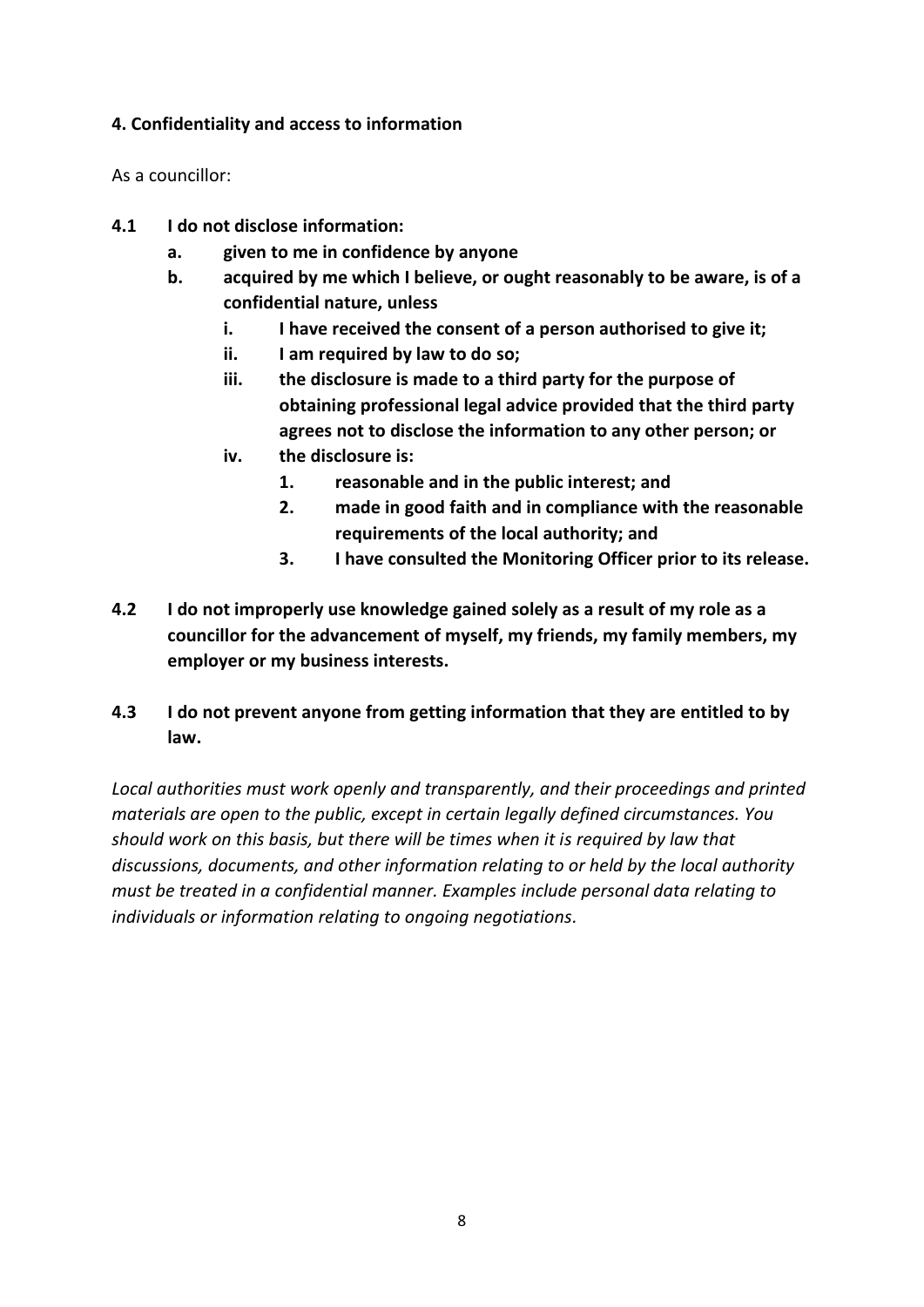## **4. Confidentiality and access to information**

As a councillor:

- **4.1 I do not disclose information:**
	- **a. given to me in confidence by anyone**
	- **b. acquired by me which I believe, or ought reasonably to be aware, is of a confidential nature, unless**
		- **i. I have received the consent of a person authorised to give it;**
		- **ii. I am required by law to do so;**
		- **iii. the disclosure is made to a third party for the purpose of obtaining professional legal advice provided that the third party agrees not to disclose the information to any other person; or**
		- **iv. the disclosure is:**
			- **1. reasonable and in the public interest; and**
			- **2. made in good faith and in compliance with the reasonable requirements of the local authority; and**
			- **3. I have consulted the Monitoring Officer prior to its release.**
- **4.2 I do not improperly use knowledge gained solely as a result of my role as a councillor for the advancement of myself, my friends, my family members, my employer or my business interests.**

# **4.3 I do not prevent anyone from getting information that they are entitled to by law.**

*Local authorities must work openly and transparently, and their proceedings and printed materials are open to the public, except in certain legally defined circumstances. You should work on this basis, but there will be times when it is required by law that discussions, documents, and other information relating to or held by the local authority must be treated in a confidential manner. Examples include personal data relating to individuals or information relating to ongoing negotiations.*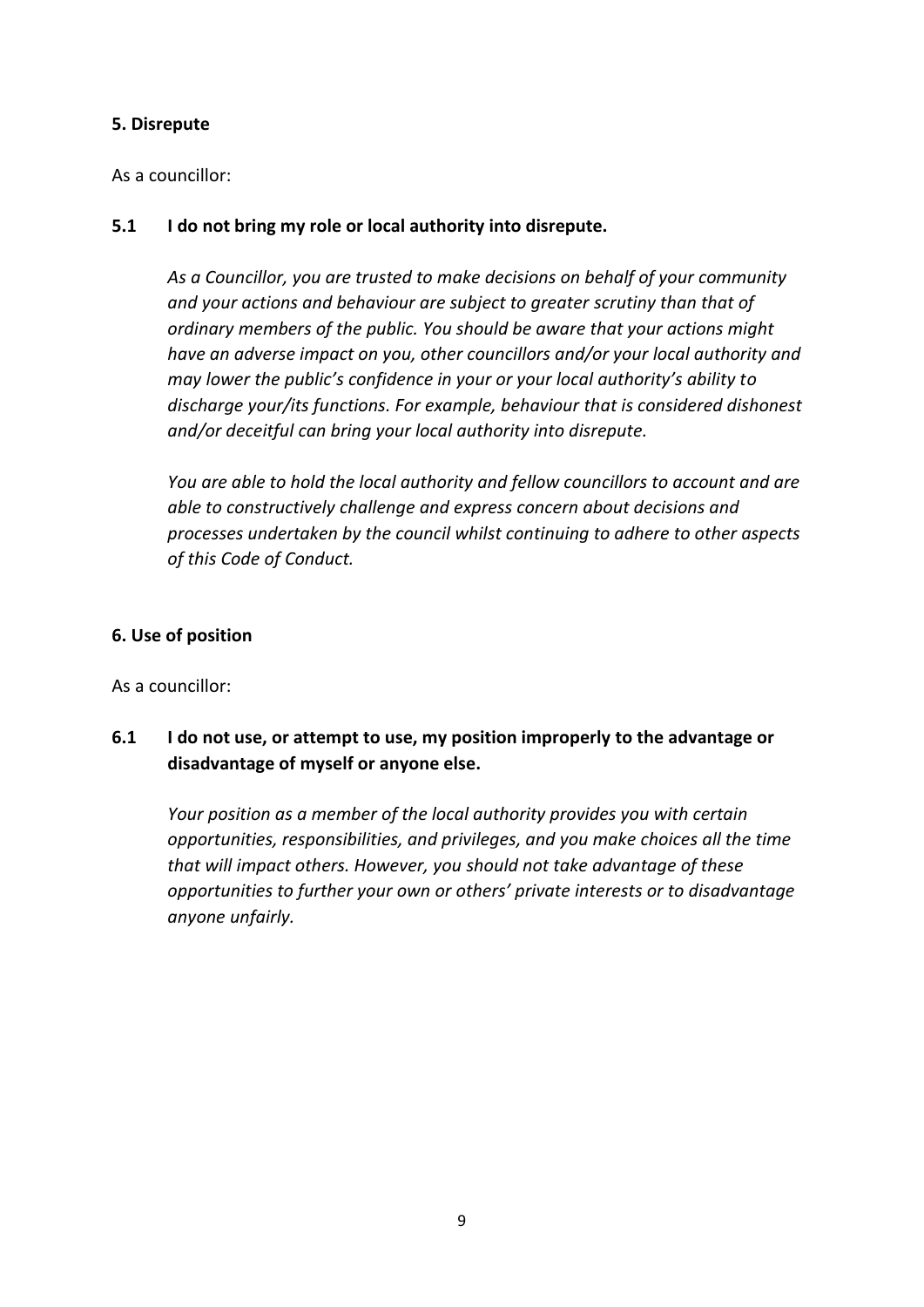#### **5. Disrepute**

As a councillor:

## **5.1 I do not bring my role or local authority into disrepute.**

*As a Councillor, you are trusted to make decisions on behalf of your community and your actions and behaviour are subject to greater scrutiny than that of ordinary members of the public. You should be aware that your actions might have an adverse impact on you, other councillors and/or your local authority and may lower the public's confidence in your or your local authority's ability to discharge your/its functions. For example, behaviour that is considered dishonest and/or deceitful can bring your local authority into disrepute.*

*You are able to hold the local authority and fellow councillors to account and are able to constructively challenge and express concern about decisions and processes undertaken by the council whilst continuing to adhere to other aspects of this Code of Conduct.*

#### **6. Use of position**

As a councillor:

**6.1 I do not use, or attempt to use, my position improperly to the advantage or disadvantage of myself or anyone else.**

*Your position as a member of the local authority provides you with certain opportunities, responsibilities, and privileges, and you make choices all the time that will impact others. However, you should not take advantage of these opportunities to further your own or others' private interests or to disadvantage anyone unfairly.*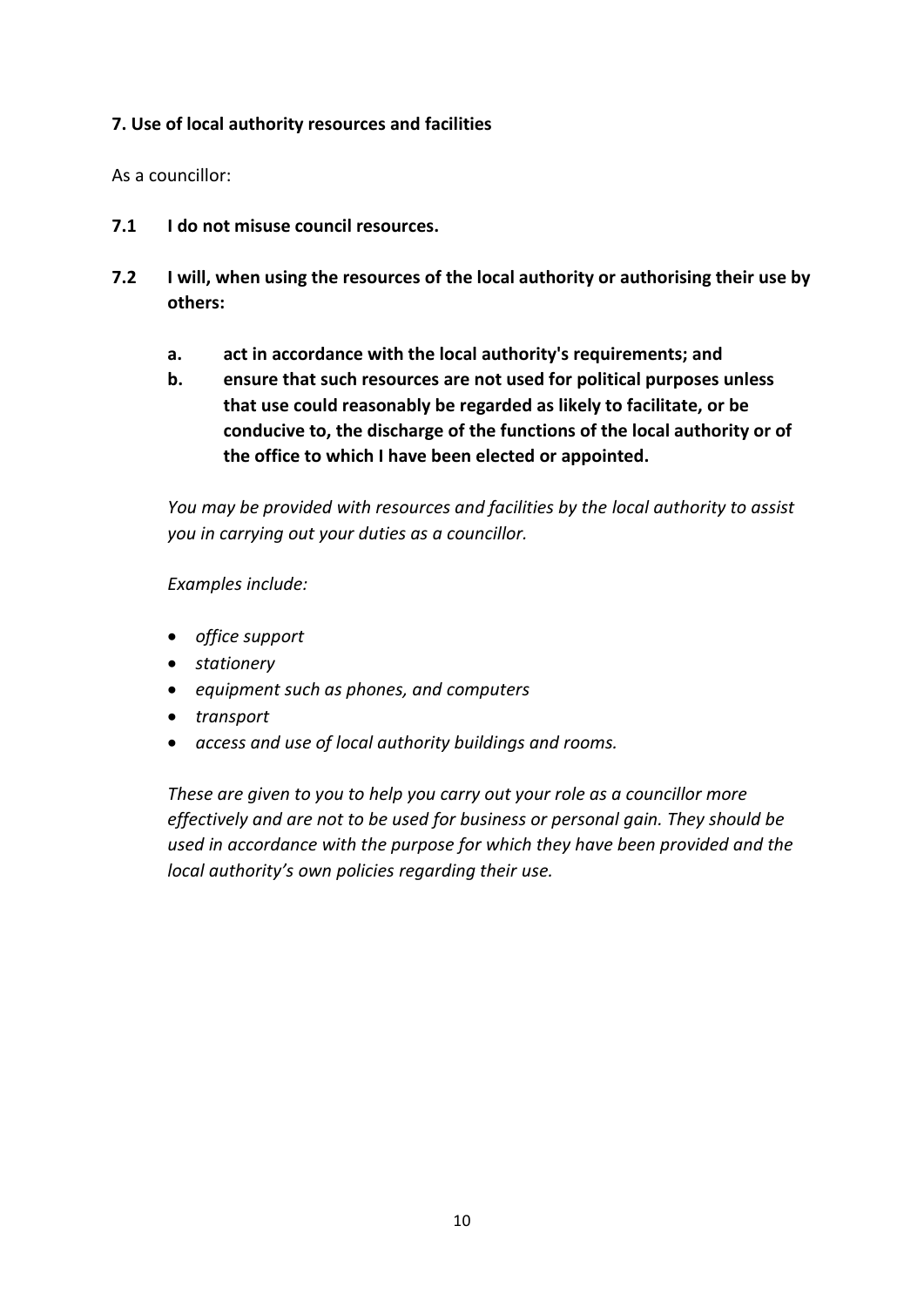# **7. Use of local authority resources and facilities**

As a councillor:

- **7.1 I do not misuse council resources.**
- **7.2 I will, when using the resources of the local authority or authorising their use by others:**
	- **a. act in accordance with the local authority's requirements; and**
	- **b. ensure that such resources are not used for political purposes unless that use could reasonably be regarded as likely to facilitate, or be conducive to, the discharge of the functions of the local authority or of the office to which I have been elected or appointed.**

*You may be provided with resources and facilities by the local authority to assist you in carrying out your duties as a councillor.*

*Examples include:*

- *office support*
- *stationery*
- *equipment such as phones, and computers*
- *transport*
- *access and use of local authority buildings and rooms.*

*These are given to you to help you carry out your role as a councillor more effectively and are not to be used for business or personal gain. They should be used in accordance with the purpose for which they have been provided and the local authority's own policies regarding their use.*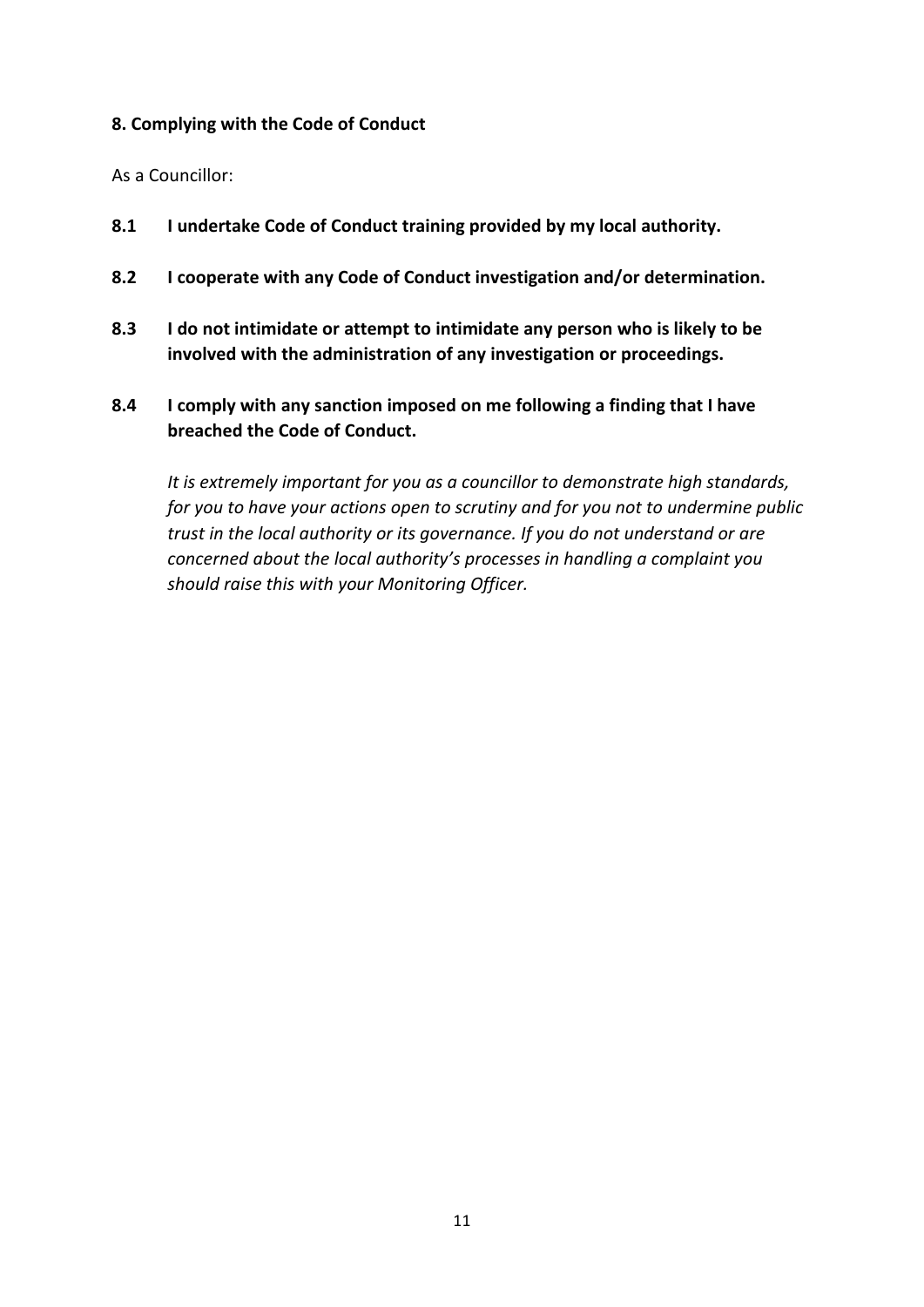#### **8. Complying with the Code of Conduct**

As a Councillor:

- **8.1 I undertake Code of Conduct training provided by my local authority.**
- **8.2 I cooperate with any Code of Conduct investigation and/or determination.**
- **8.3 I do not intimidate or attempt to intimidate any person who is likely to be involved with the administration of any investigation or proceedings.**
- **8.4 I comply with any sanction imposed on me following a finding that I have breached the Code of Conduct.**

*It is extremely important for you as a councillor to demonstrate high standards, for you to have your actions open to scrutiny and for you not to undermine public trust in the local authority or its governance. If you do not understand or are concerned about the local authority's processes in handling a complaint you should raise this with your Monitoring Officer.*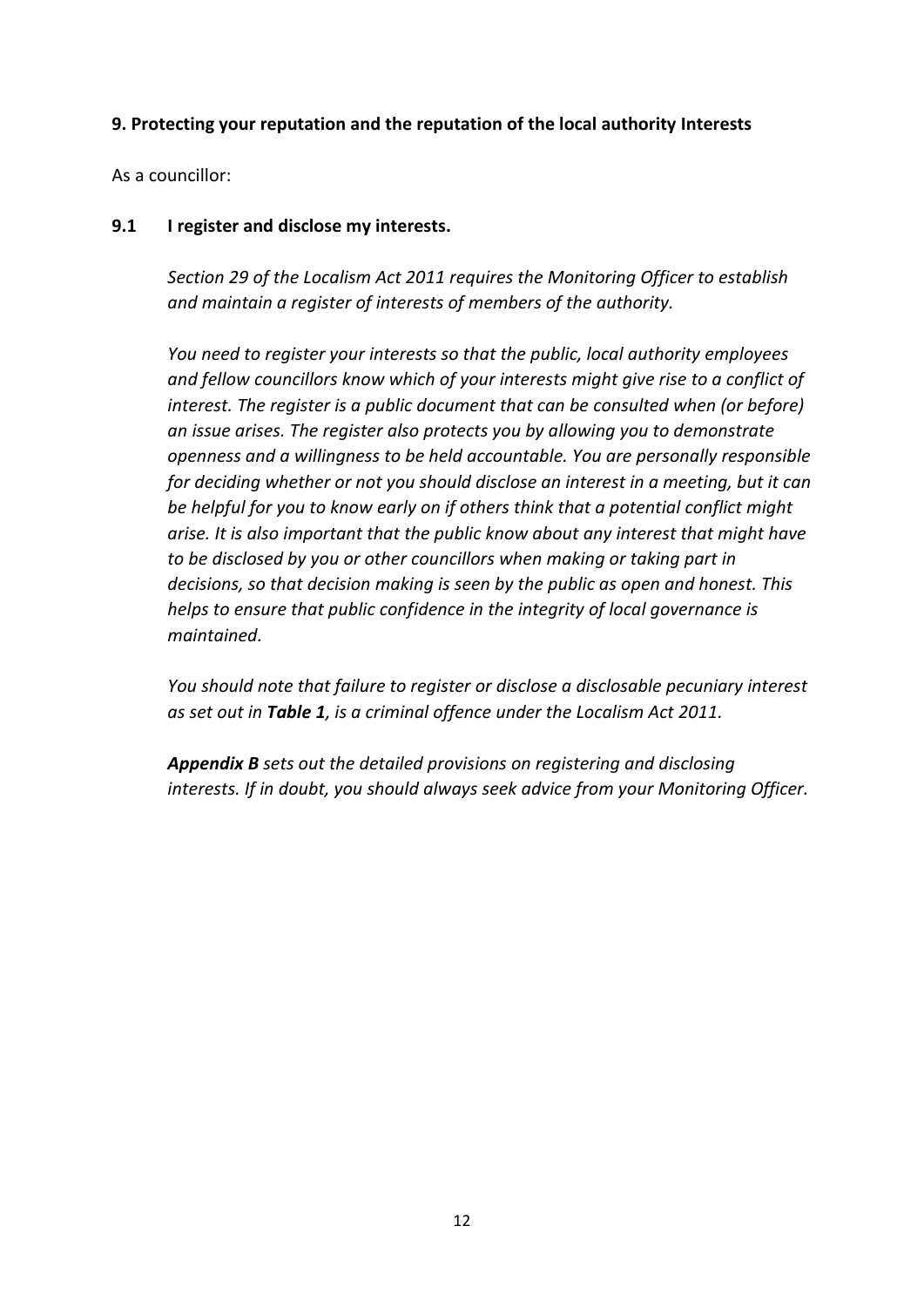#### **9. Protecting your reputation and the reputation of the local authority Interests**

As a councillor:

#### **9.1 I register and disclose my interests.**

*Section 29 of the Localism Act 2011 requires the Monitoring Officer to establish and maintain a register of interests of members of the authority.*

*You need to register your interests so that the public, local authority employees and fellow councillors know which of your interests might give rise to a conflict of interest. The register is a public document that can be consulted when (or before) an issue arises. The register also protects you by allowing you to demonstrate openness and a willingness to be held accountable. You are personally responsible for deciding whether or not you should disclose an interest in a meeting, but it can be helpful for you to know early on if others think that a potential conflict might arise. It is also important that the public know about any interest that might have to be disclosed by you or other councillors when making or taking part in decisions, so that decision making is seen by the public as open and honest. This helps to ensure that public confidence in the integrity of local governance is maintained.*

*You should note that failure to register or disclose a disclosable pecuniary interest as set out in Table 1, is a criminal offence under the Localism Act 2011.*

*Appendix B sets out the detailed provisions on registering and disclosing interests. If in doubt, you should always seek advice from your Monitoring Officer.*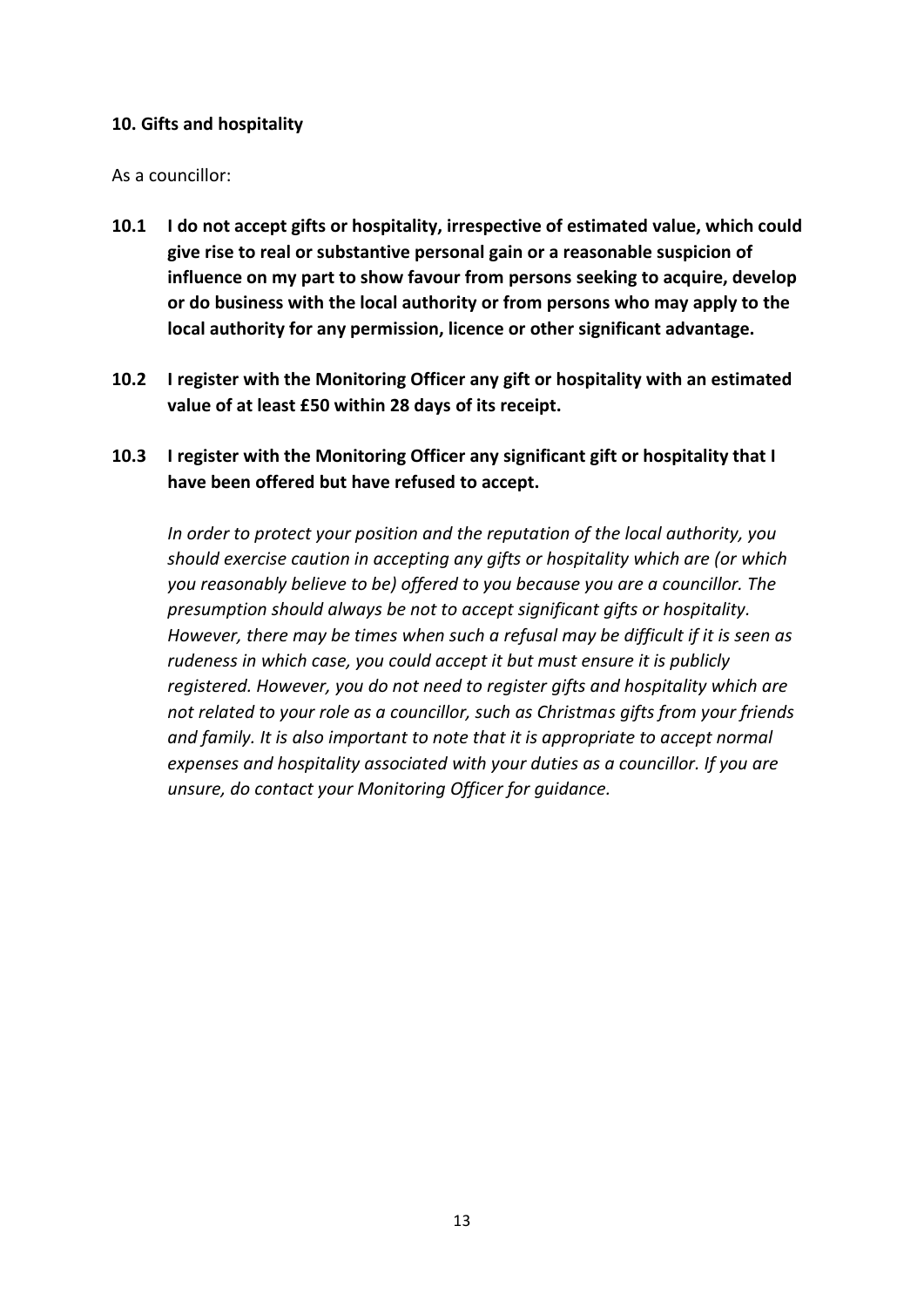#### **10. Gifts and hospitality**

As a councillor:

- **10.1 I do not accept gifts or hospitality, irrespective of estimated value, which could give rise to real or substantive personal gain or a reasonable suspicion of influence on my part to show favour from persons seeking to acquire, develop or do business with the local authority or from persons who may apply to the local authority for any permission, licence or other significant advantage.**
- **10.2 I register with the Monitoring Officer any gift or hospitality with an estimated value of at least £50 within 28 days of its receipt.**
- **10.3 I register with the Monitoring Officer any significant gift or hospitality that I have been offered but have refused to accept.**

*In order to protect your position and the reputation of the local authority, you should exercise caution in accepting any gifts or hospitality which are (or which you reasonably believe to be) offered to you because you are a councillor. The presumption should always be not to accept significant gifts or hospitality. However, there may be times when such a refusal may be difficult if it is seen as rudeness in which case, you could accept it but must ensure it is publicly registered. However, you do not need to register gifts and hospitality which are not related to your role as a councillor, such as Christmas gifts from your friends and family. It is also important to note that it is appropriate to accept normal expenses and hospitality associated with your duties as a councillor. If you are unsure, do contact your Monitoring Officer for guidance.*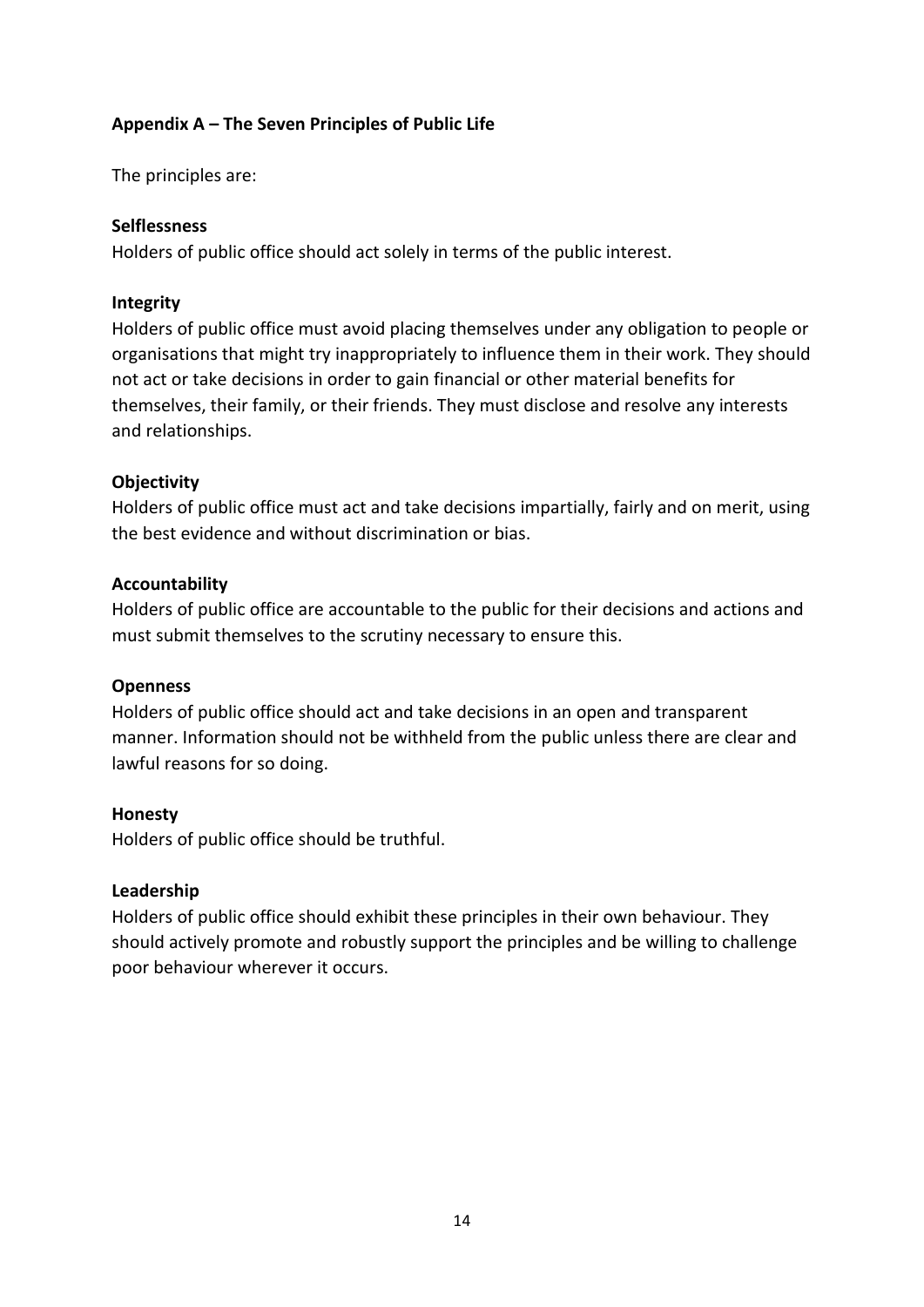## **Appendix A – The Seven Principles of Public Life**

The principles are:

#### **Selflessness**

Holders of public office should act solely in terms of the public interest.

#### **Integrity**

Holders of public office must avoid placing themselves under any obligation to people or organisations that might try inappropriately to influence them in their work. They should not act or take decisions in order to gain financial or other material benefits for themselves, their family, or their friends. They must disclose and resolve any interests and relationships.

# **Objectivity**

Holders of public office must act and take decisions impartially, fairly and on merit, using the best evidence and without discrimination or bias.

#### **Accountability**

Holders of public office are accountable to the public for their decisions and actions and must submit themselves to the scrutiny necessary to ensure this.

#### **Openness**

Holders of public office should act and take decisions in an open and transparent manner. Information should not be withheld from the public unless there are clear and lawful reasons for so doing.

#### **Honesty**

Holders of public office should be truthful.

#### **Leadership**

Holders of public office should exhibit these principles in their own behaviour. They should actively promote and robustly support the principles and be willing to challenge poor behaviour wherever it occurs.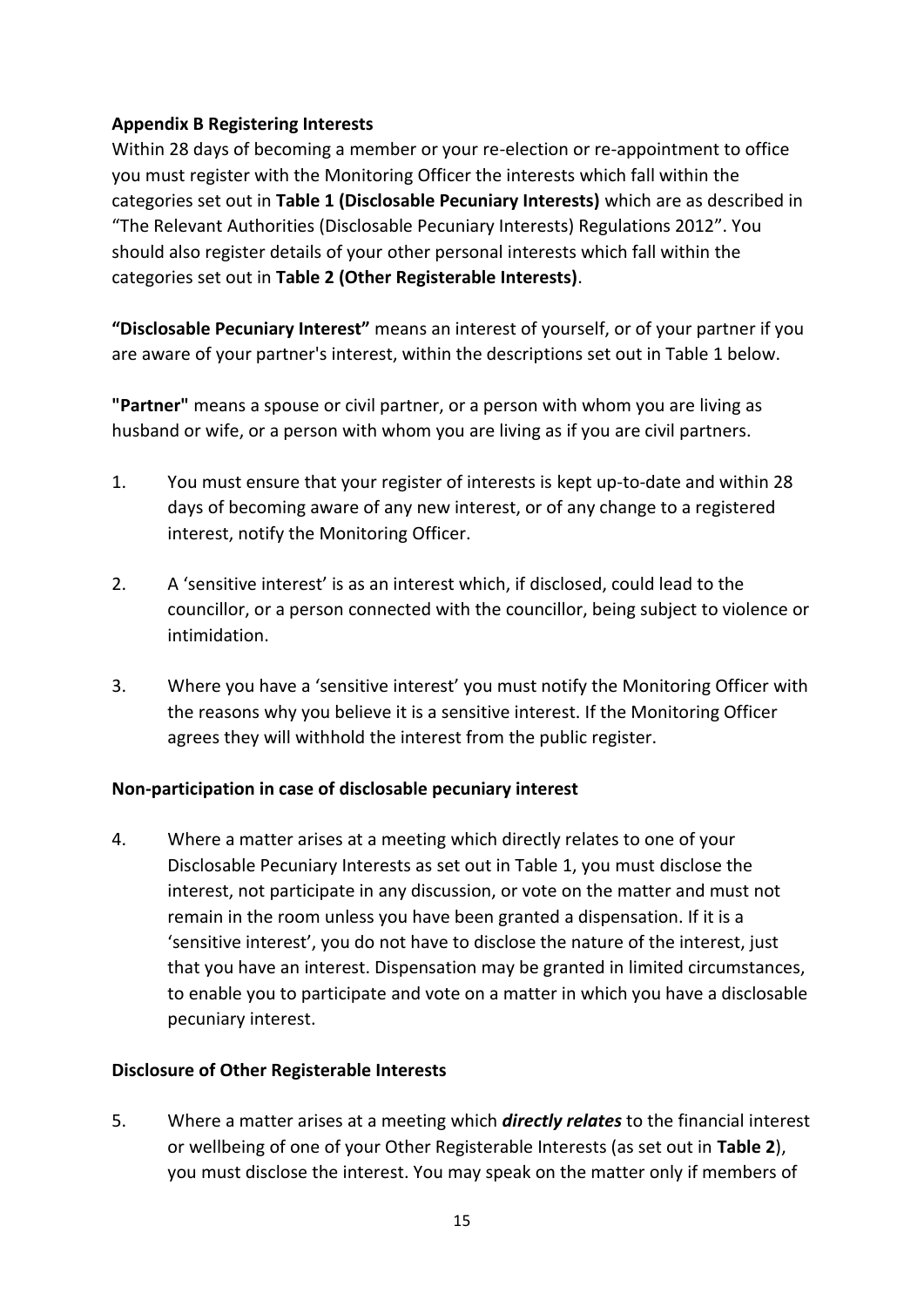## **Appendix B Registering Interests**

Within 28 days of becoming a member or your re-election or re-appointment to office you must register with the Monitoring Officer the interests which fall within the categories set out in **Table 1 (Disclosable Pecuniary Interests)** which are as described in "The Relevant Authorities (Disclosable Pecuniary Interests) Regulations 2012". You should also register details of your other personal interests which fall within the categories set out in **Table 2 (Other Registerable Interests)**.

**"Disclosable Pecuniary Interest"** means an interest of yourself, or of your partner if you are aware of your partner's interest, within the descriptions set out in Table 1 below.

**"Partner"** means a spouse or civil partner, or a person with whom you are living as husband or wife, or a person with whom you are living as if you are civil partners.

- 1. You must ensure that your register of interests is kept up-to-date and within 28 days of becoming aware of any new interest, or of any change to a registered interest, notify the Monitoring Officer.
- 2. A 'sensitive interest' is as an interest which, if disclosed, could lead to the councillor, or a person connected with the councillor, being subject to violence or intimidation.
- 3. Where you have a 'sensitive interest' you must notify the Monitoring Officer with the reasons why you believe it is a sensitive interest. If the Monitoring Officer agrees they will withhold the interest from the public register.

# **Non-participation in case of disclosable pecuniary interest**

4. Where a matter arises at a meeting which directly relates to one of your Disclosable Pecuniary Interests as set out in Table 1, you must disclose the interest, not participate in any discussion, or vote on the matter and must not remain in the room unless you have been granted a dispensation. If it is a 'sensitive interest', you do not have to disclose the nature of the interest, just that you have an interest. Dispensation may be granted in limited circumstances, to enable you to participate and vote on a matter in which you have a disclosable pecuniary interest.

#### **Disclosure of Other Registerable Interests**

5. Where a matter arises at a meeting which *directly relates* to the financial interest or wellbeing of one of your Other Registerable Interests (as set out in **Table 2**), you must disclose the interest. You may speak on the matter only if members of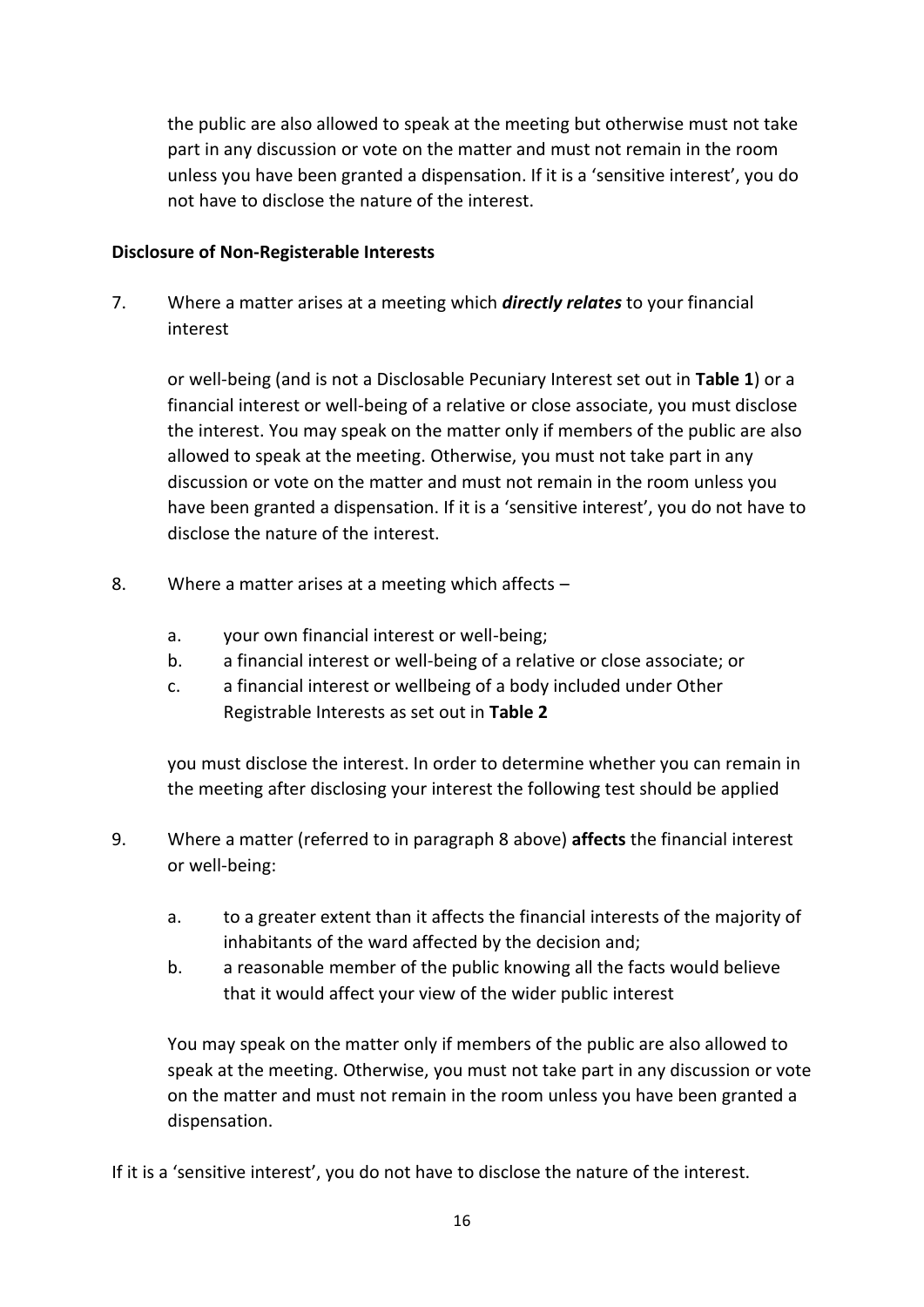the public are also allowed to speak at the meeting but otherwise must not take part in any discussion or vote on the matter and must not remain in the room unless you have been granted a dispensation. If it is a 'sensitive interest', you do not have to disclose the nature of the interest.

#### **Disclosure of Non-Registerable Interests**

7. Where a matter arises at a meeting which *directly relates* to your financial interest

or well-being (and is not a Disclosable Pecuniary Interest set out in **Table 1**) or a financial interest or well-being of a relative or close associate, you must disclose the interest. You may speak on the matter only if members of the public are also allowed to speak at the meeting. Otherwise, you must not take part in any discussion or vote on the matter and must not remain in the room unless you have been granted a dispensation. If it is a 'sensitive interest', you do not have to disclose the nature of the interest.

- 8. Where a matter arises at a meeting which affects
	- a. your own financial interest or well-being;
	- b. a financial interest or well-being of a relative or close associate; or
	- c. a financial interest or wellbeing of a body included under Other Registrable Interests as set out in **Table 2**

you must disclose the interest. In order to determine whether you can remain in the meeting after disclosing your interest the following test should be applied

- 9. Where a matter (referred to in paragraph 8 above) **affects** the financial interest or well-being:
	- a. to a greater extent than it affects the financial interests of the majority of inhabitants of the ward affected by the decision and;
	- b. a reasonable member of the public knowing all the facts would believe that it would affect your view of the wider public interest

You may speak on the matter only if members of the public are also allowed to speak at the meeting. Otherwise, you must not take part in any discussion or vote on the matter and must not remain in the room unless you have been granted a dispensation.

If it is a 'sensitive interest', you do not have to disclose the nature of the interest.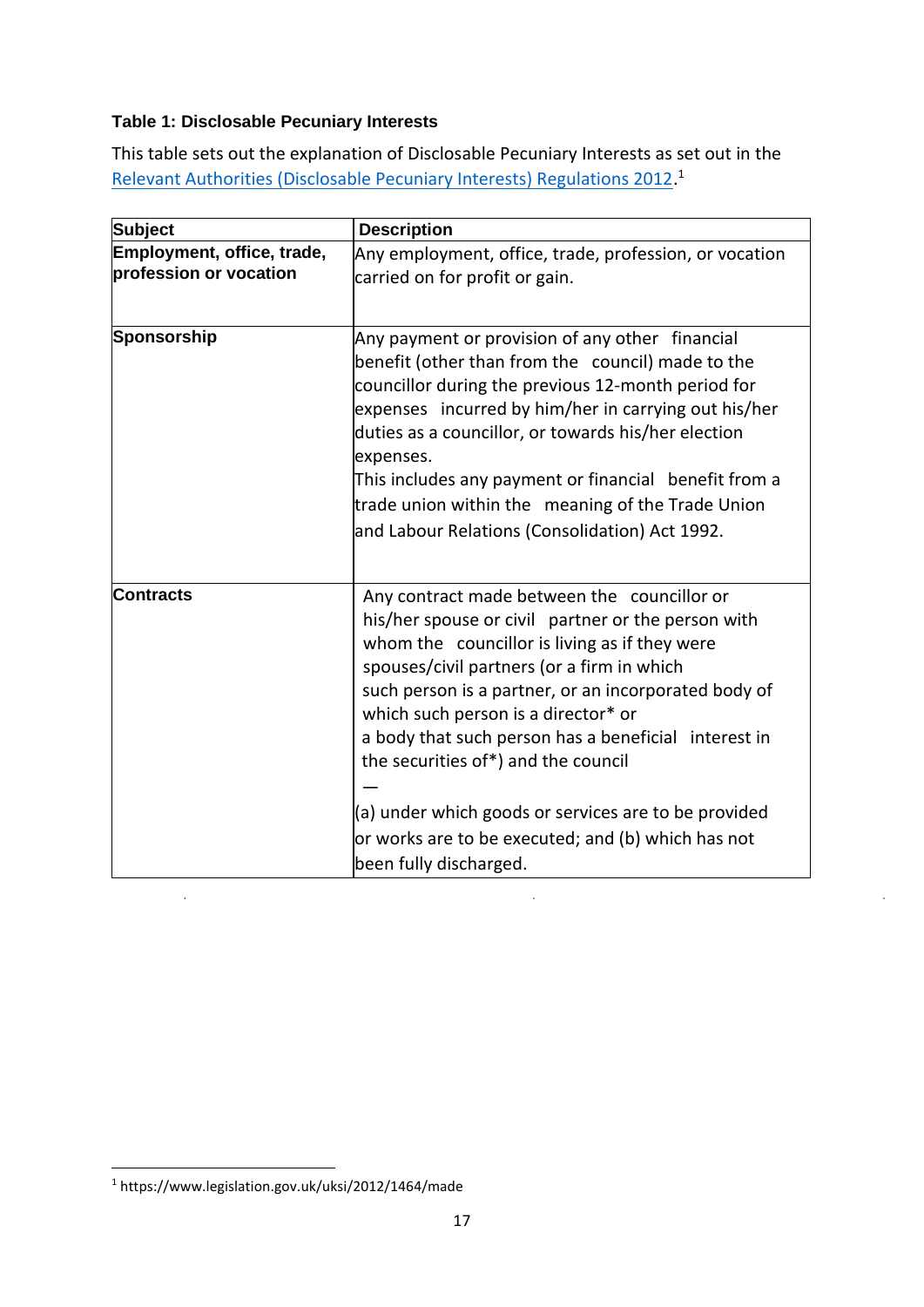# **Table 1: Disclosable Pecuniary Interests**

This table sets out the explanation of Disclosable Pecuniary Interests as set out in the [Relevant Authorities \(Disclosable Pecuniary Interests\) Regulations 2012.](https://www.legislation.gov.uk/uksi/2012/1464/made)<sup>1</sup>

| <b>Subject</b>             | <b>Description</b>                                                                                                                                                                                                                                                                                                                                                                                                                                     |
|----------------------------|--------------------------------------------------------------------------------------------------------------------------------------------------------------------------------------------------------------------------------------------------------------------------------------------------------------------------------------------------------------------------------------------------------------------------------------------------------|
| Employment, office, trade, |                                                                                                                                                                                                                                                                                                                                                                                                                                                        |
| profession or vocation     | Any employment, office, trade, profession, or vocation                                                                                                                                                                                                                                                                                                                                                                                                 |
|                            | carried on for profit or gain.                                                                                                                                                                                                                                                                                                                                                                                                                         |
|                            |                                                                                                                                                                                                                                                                                                                                                                                                                                                        |
| Sponsorship                | Any payment or provision of any other financial<br>benefit (other than from the council) made to the<br>councillor during the previous 12-month period for<br>expenses incurred by him/her in carrying out his/her<br>duties as a councillor, or towards his/her election<br>expenses.<br>This includes any payment or financial benefit from a<br>trade union within the meaning of the Trade Union<br>and Labour Relations (Consolidation) Act 1992. |
|                            |                                                                                                                                                                                                                                                                                                                                                                                                                                                        |
| <b>Contracts</b>           | Any contract made between the councillor or<br>his/her spouse or civil partner or the person with<br>whom the councillor is living as if they were<br>spouses/civil partners (or a firm in which<br>such person is a partner, or an incorporated body of<br>which such person is a director* or<br>a body that such person has a beneficial interest in<br>the securities of*) and the council                                                         |
|                            | (a) under which goods or services are to be provided                                                                                                                                                                                                                                                                                                                                                                                                   |
|                            | or works are to be executed; and (b) which has not                                                                                                                                                                                                                                                                                                                                                                                                     |
|                            | been fully discharged.                                                                                                                                                                                                                                                                                                                                                                                                                                 |

 $\frac{1}{2}$ 

 $\bar{z}$ 

<sup>1</sup> https://www.legislation.gov.uk/uksi/2012/1464/made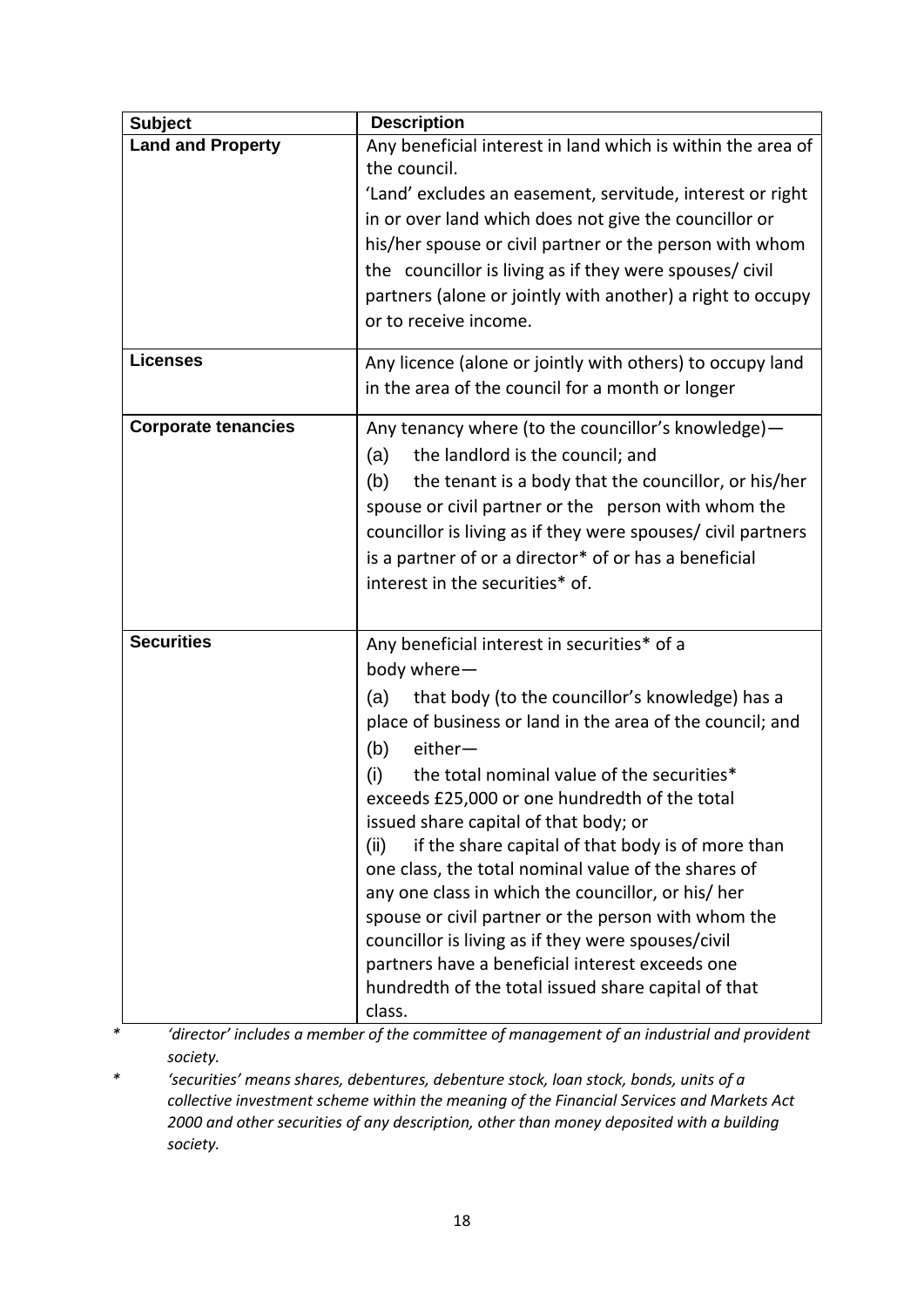| <b>Subject</b>             | <b>Description</b>                                                          |
|----------------------------|-----------------------------------------------------------------------------|
| <b>Land and Property</b>   | Any beneficial interest in land which is within the area of<br>the council. |
|                            | 'Land' excludes an easement, servitude, interest or right                   |
|                            | in or over land which does not give the councillor or                       |
|                            | his/her spouse or civil partner or the person with whom                     |
|                            | the councillor is living as if they were spouses/civil                      |
|                            | partners (alone or jointly with another) a right to occupy                  |
|                            | or to receive income.                                                       |
|                            |                                                                             |
| <b>Licenses</b>            | Any licence (alone or jointly with others) to occupy land                   |
|                            | in the area of the council for a month or longer                            |
| <b>Corporate tenancies</b> | Any tenancy where (to the councillor's knowledge)-                          |
|                            | the landlord is the council; and<br>(a)                                     |
|                            | (b)<br>the tenant is a body that the councillor, or his/her                 |
|                            | spouse or civil partner or the person with whom the                         |
|                            | councillor is living as if they were spouses/ civil partners                |
|                            | is a partner of or a director* of or has a beneficial                       |
|                            | interest in the securities* of.                                             |
|                            |                                                                             |
| <b>Securities</b>          | Any beneficial interest in securities* of a                                 |
|                            | body where-                                                                 |
|                            | that body (to the councillor's knowledge) has a<br>(a)                      |
|                            | place of business or land in the area of the council; and                   |
|                            | either-<br>(b)                                                              |
|                            | the total nominal value of the securities*<br>(i)                           |
|                            | exceeds £25,000 or one hundredth of the total                               |
|                            | issued share capital of that body; or                                       |
|                            | if the share capital of that body is of more than<br>(ii)                   |
|                            | one class, the total nominal value of the shares of                         |
|                            | any one class in which the councillor, or his/her                           |
|                            | spouse or civil partner or the person with whom the                         |
|                            | councillor is living as if they were spouses/civil                          |
|                            | partners have a beneficial interest exceeds one                             |
|                            | hundredth of the total issued share capital of that                         |
|                            | class.                                                                      |

*\* 'director' includes a member of the committee of management of an industrial and provident society.* 

*\* 'securities' means shares, debentures, debenture stock, loan stock, bonds, units of a collective investment scheme within the meaning of the Financial Services and Markets Act 2000 and other securities of any description, other than money deposited with a building society.*